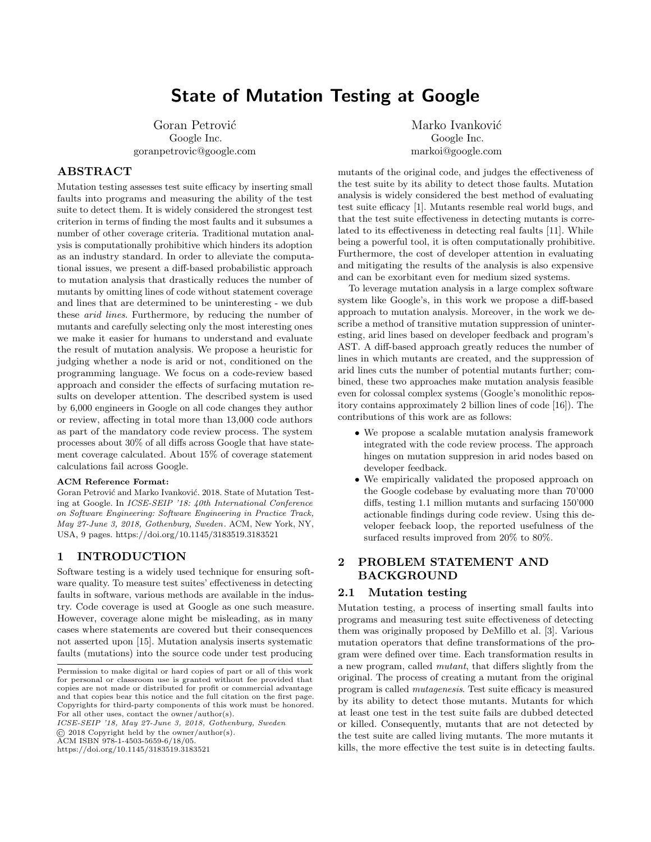# State of Mutation Testing at Google

Goran Petrović Google Inc. goranpetrovic@google.com

### ABSTRACT

Mutation testing assesses test suite efficacy by inserting small faults into programs and measuring the ability of the test suite to detect them. It is widely considered the strongest test criterion in terms of finding the most faults and it subsumes a number of other coverage criteria. Traditional mutation analysis is computationally prohibitive which hinders its adoption as an industry standard. In order to alleviate the computational issues, we present a diff-based probabilistic approach to mutation analysis that drastically reduces the number of mutants by omitting lines of code without statement coverage and lines that are determined to be uninteresting - we dub these arid lines. Furthermore, by reducing the number of mutants and carefully selecting only the most interesting ones we make it easier for humans to understand and evaluate the result of mutation analysis. We propose a heuristic for judging whether a node is arid or not, conditioned on the programming language. We focus on a code-review based approach and consider the effects of surfacing mutation results on developer attention. The described system is used by 6,000 engineers in Google on all code changes they author or review, affecting in total more than 13,000 code authors as part of the mandatory code review process. The system processes about 30% of all diffs across Google that have statement coverage calculated. About 15% of coverage statement calculations fail across Google.

#### ACM Reference Format:

Goran Petrović and Marko Ivanković. 2018. State of Mutation Testing at Google. In ICSE-SEIP '18: 40th International Conference on Software Engineering: Software Engineering in Practice Track, May 27-June 3, 2018, Gothenburg, Sweden . ACM, New York, NY, USA, [9](#page-8-0) pages.<https://doi.org/10.1145/3183519.3183521>

### 1 INTRODUCTION

Software testing is a widely used technique for ensuring software quality. To measure test suites' effectiveness in detecting faults in software, various methods are available in the industry. Code coverage is used at Google as one such measure. However, coverage alone might be misleading, as in many cases where statements are covered but their consequences not asserted upon [\[15\]](#page-5-0). Mutation analysis inserts systematic faults (mutations) into the source code under test producing

ICSE-SEIP '18, May 27-June 3, 2018, Gothenburg, Sweden

© 2018 Copyright held by the owner/author(s).

ACM ISBN 978-1-4503-5659-6/18/05.

<https://doi.org/10.1145/3183519.3183521>

Marko Ivanković Google Inc. markoi@google.com

mutants of the original code, and judges the effectiveness of the test suite by its ability to detect those faults. Mutation analysis is widely considered the best method of evaluating test suite efficacy [\[1\]](#page-5-1). Mutants resemble real world bugs, and that the test suite effectiveness in detecting mutants is correlated to its effectiveness in detecting real faults [\[11\]](#page-5-2). While being a powerful tool, it is often computationally prohibitive. Furthermore, the cost of developer attention in evaluating and mitigating the results of the analysis is also expensive and can be exorbitant even for medium sized systems.

To leverage mutation analysis in a large complex software system like Google's, in this work we propose a diff-based approach to mutation analysis. Moreover, in the work we describe a method of transitive mutation suppression of uninteresting, arid lines based on developer feedback and program's AST. A diff-based approach greatly reduces the number of lines in which mutants are created, and the suppression of arid lines cuts the number of potential mutants further; combined, these two approaches make mutation analysis feasible even for colossal complex systems (Google's monolithic repository contains approximately 2 billion lines of code [\[16\]](#page-5-3)). The contributions of this work are as follows:

- ∙ We propose a scalable mutation analysis framework integrated with the code review process. The approach hinges on mutation suppresion in arid nodes based on developer feedback.
- ∙ We empirically validated the proposed approach on the Google codebase by evaluating more than 70'000 diffs, testing 1.1 million mutants and surfacing 150'000 actionable findings during code review. Using this developer feeback loop, the reported usefulness of the surfaced results improved from 20% to 80%.

### 2 PROBLEM STATEMENT AND BACKGROUND

### 2.1 Mutation testing

Mutation testing, a process of inserting small faults into programs and measuring test suite effectiveness of detecting them was originally proposed by DeMillo et al. [\[3\]](#page-5-4). Various mutation operators that define transformations of the program were defined over time. Each transformation results in a new program, called mutant, that differs slightly from the original. The process of creating a mutant from the original program is called mutagenesis. Test suite efficacy is measured by its ability to detect those mutants. Mutants for which at least one test in the test suite fails are dubbed detected or killed. Consequently, mutants that are not detected by the test suite are called living mutants. The more mutants it kills, the more effective the test suite is in detecting faults.

Permission to make digital or hard copies of part or all of this work for personal or classroom use is granted without fee provided that copies are not made or distributed for profit or commercial advantage and that copies bear this notice and the full citation on the first page. Copyrights for third-party components of this work must be honored. For all other uses, contact the owner/author(s).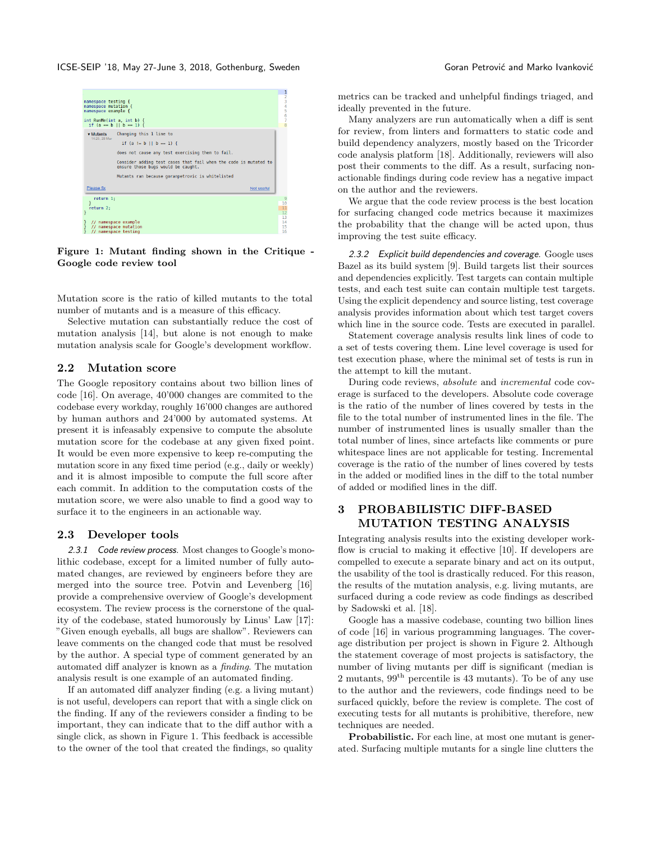ICSE-SEIP '18, May 27-June 3, 2018, Gothenburg, Sweden Goran Commence Coran Petrović and Marko Ivanković

<span id="page-1-0"></span>

Figure 1: Mutant finding shown in the Critique - Google code review tool

Mutation score is the ratio of killed mutants to the total number of mutants and is a measure of this efficacy.

Selective mutation can substantially reduce the cost of mutation analysis [\[14\]](#page-5-5), but alone is not enough to make mutation analysis scale for Google's development workflow.

### 2.2 Mutation score

The Google repository contains about two billion lines of code [\[16\]](#page-5-3). On average, 40'000 changes are commited to the codebase every workday, roughly 16'000 changes are authored by human authors and 24'000 by automated systems. At present it is infeasably expensive to compute the absolute mutation score for the codebase at any given fixed point. It would be even more expensive to keep re-computing the mutation score in any fixed time period (e.g., daily or weekly) and it is almost imposible to compute the full score after each commit. In addition to the computation costs of the mutation score, we were also unable to find a good way to surface it to the engineers in an actionable way.

#### 2.3 Developer tools

<span id="page-1-2"></span>2.3.1 Code review process. Most changes to Google's monolithic codebase, except for a limited number of fully automated changes, are reviewed by engineers before they are merged into the source tree. Potvin and Levenberg [\[16\]](#page-5-3) provide a comprehensive overview of Google's development ecosystem. The review process is the cornerstone of the quality of the codebase, stated humorously by Linus' Law [\[17\]](#page-5-6): "Given enough eyeballs, all bugs are shallow". Reviewers can leave comments on the changed code that must be resolved by the author. A special type of comment generated by an automated diff analyzer is known as a finding. The mutation analysis result is one example of an automated finding.

If an automated diff analyzer finding (e.g. a living mutant) is not useful, developers can report that with a single click on the finding. If any of the reviewers consider a finding to be important, they can indicate that to the diff author with a single click, as shown in Figure [1.](#page-1-0) This feedback is accessible to the owner of the tool that created the findings, so quality metrics can be tracked and unhelpful findings triaged, and ideally prevented in the future.

Many analyzers are run automatically when a diff is sent for review, from linters and formatters to static code and build dependency analyzers, mostly based on the Tricorder code analysis platform [\[18\]](#page-5-7). Additionally, reviewers will also post their comments to the diff. As a result, surfacing nonactionable findings during code review has a negative impact on the author and the reviewers.

We argue that the code review process is the best location for surfacing changed code metrics because it maximizes the probability that the change will be acted upon, thus improving the test suite efficacy.

<span id="page-1-1"></span>2.3.2 Explicit build dependencies and coverage. Google uses Bazel as its build system [\[9\]](#page-5-8). Build targets list their sources and dependencies explicitly. Test targets can contain multiple tests, and each test suite can contain multiple test targets. Using the explicit dependency and source listing, test coverage analysis provides information about which test target covers which line in the source code. Tests are executed in parallel.

Statement coverage analysis results link lines of code to a set of tests covering them. Line level coverage is used for test execution phase, where the minimal set of tests is run in the attempt to kill the mutant.

During code reviews, absolute and incremental code coverage is surfaced to the developers. Absolute code coverage is the ratio of the number of lines covered by tests in the file to the total number of instrumented lines in the file. The number of instrumented lines is usually smaller than the total number of lines, since artefacts like comments or pure whitespace lines are not applicable for testing. Incremental coverage is the ratio of the number of lines covered by tests in the added or modified lines in the diff to the total number of added or modified lines in the diff.

### 3 PROBABILISTIC DIFF-BASED MUTATION TESTING ANALYSIS

Integrating analysis results into the existing developer work-flow is crucial to making it effective [\[10\]](#page-5-9). If developers are compelled to execute a separate binary and act on its output, the usability of the tool is drastically reduced. For this reason, the results of the mutation analysis, e.g. living mutants, are surfaced during a code review as code findings as described by Sadowski et al. [\[18\]](#page-5-7).

Google has a massive codebase, counting two billion lines of code [\[16\]](#page-5-3) in various programming languages. The coverage distribution per project is shown in Figure [2.](#page-2-0) Although the statement coverage of most projects is satisfactory, the number of living mutants per diff is significant (median is 2 mutants,  $99<sup>th</sup>$  percentile is 43 mutants). To be of any use to the author and the reviewers, code findings need to be surfaced quickly, before the review is complete. The cost of executing tests for all mutants is prohibitive, therefore, new techniques are needed.

Probabilistic. For each line, at most one mutant is generated. Surfacing multiple mutants for a single line clutters the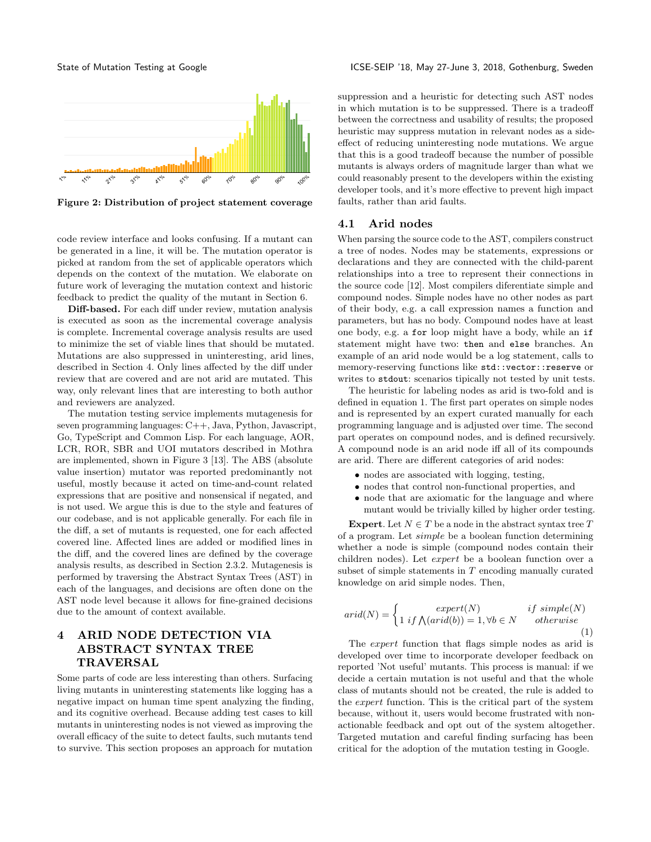<span id="page-2-0"></span>

Figure 2: Distribution of project statement coverage

code review interface and looks confusing. If a mutant can be generated in a line, it will be. The mutation operator is picked at random from the set of applicable operators which depends on the context of the mutation. We elaborate on future work of leveraging the mutation context and historic feedback to predict the quality of the mutant in Section [6.](#page-4-0)

Diff-based. For each diff under review, mutation analysis is executed as soon as the incremental coverage analysis is complete. Incremental coverage analysis results are used to minimize the set of viable lines that should be mutated. Mutations are also suppressed in uninteresting, arid lines, described in Section [4.](#page-2-1) Only lines affected by the diff under review that are covered and are not arid are mutated. This way, only relevant lines that are interesting to both author and reviewers are analyzed.

The mutation testing service implements mutagenesis for seven programming languages: C++, Java, Python, Javascript, Go, TypeScript and Common Lisp. For each language, AOR, LCR, ROR, SBR and UOI mutators described in Mothra are implemented, shown in Figure [3](#page-3-0) [\[13\]](#page-5-10). The ABS (absolute value insertion) mutator was reported predominantly not useful, mostly because it acted on time-and-count related expressions that are positive and nonsensical if negated, and is not used. We argue this is due to the style and features of our codebase, and is not applicable generally. For each file in the diff, a set of mutants is requested, one for each affected covered line. Affected lines are added or modified lines in the diff, and the covered lines are defined by the coverage analysis results, as described in Section [2.3.2.](#page-1-1) Mutagenesis is performed by traversing the Abstract Syntax Trees (AST) in each of the languages, and decisions are often done on the AST node level because it allows for fine-grained decisions due to the amount of context available.

## <span id="page-2-1"></span>4 ARID NODE DETECTION VIA ABSTRACT SYNTAX TREE TRAVERSAL

Some parts of code are less interesting than others. Surfacing living mutants in uninteresting statements like logging has a negative impact on human time spent analyzing the finding, and its cognitive overhead. Because adding test cases to kill mutants in uninteresting nodes is not viewed as improving the overall efficacy of the suite to detect faults, such mutants tend to survive. This section proposes an approach for mutation suppression and a heuristic for detecting such AST nodes in which mutation is to be suppressed. There is a tradeoff between the correctness and usability of results; the proposed heuristic may suppress mutation in relevant nodes as a sideeffect of reducing uninteresting node mutations. We argue that this is a good tradeoff because the number of possible mutants is always orders of magnitude larger than what we could reasonably present to the developers within the existing developer tools, and it's more effective to prevent high impact faults, rather than arid faults.

#### 4.1 Arid nodes

When parsing the source code to the AST, compilers construct a tree of nodes. Nodes may be statements, expressions or declarations and they are connected with the child-parent relationships into a tree to represent their connections in the source code [\[12\]](#page-5-11). Most compilers diferentiate simple and compound nodes. Simple nodes have no other nodes as part of their body, e.g. a call expression names a function and parameters, but has no body. Compound nodes have at least one body, e.g. a for loop might have a body, while an if statement might have two: then and else branches. An example of an arid node would be a log statement, calls to memory-reserving functions like std::vector::reserve or writes to stdout: scenarios tipically not tested by unit tests.

The heuristic for labeling nodes as arid is two-fold and is defined in equation [1.](#page-2-2) The first part operates on simple nodes and is represented by an expert curated manually for each programming language and is adjusted over time. The second part operates on compound nodes, and is defined recursively. A compound node is an arid node iff all of its compounds are arid. There are different categories of arid nodes:

- ∙ nodes are associated with logging, testing,
- ∙ nodes that control non-functional properties, and
- ∙ node that are axiomatic for the language and where mutant would be trivially killed by higher order testing.

Expert. Let  $N \in T$  be a node in the abstract syntax tree T of a program. Let  $simple$  be a boolean function determining whether a node is simple (compound nodes contain their children nodes). Let  $expert$  be a boolean function over a subset of simple statements in  $T$  encoding manually curated knowledge on arid simple nodes. Then,

<span id="page-2-2"></span>
$$
arid(N) = \begin{cases} \quad \text{expert}(N) & \text{if simple}(N) \\ 1 \text{ if } \bigwedge(\text{arid}(b)) = 1, \forall b \in N & \text{otherwise} \end{cases} \tag{1}
$$

The  $expert$  function that flags simple nodes as arid is developed over time to incorporate developer feedback on reported 'Not useful' mutants. This process is manual: if we decide a certain mutation is not useful and that the whole class of mutants should not be created, the rule is added to the *expert* function. This is the critical part of the system because, without it, users would become frustrated with nonactionable feedback and opt out of the system altogether. Targeted mutation and careful finding surfacing has been critical for the adoption of the mutation testing in Google.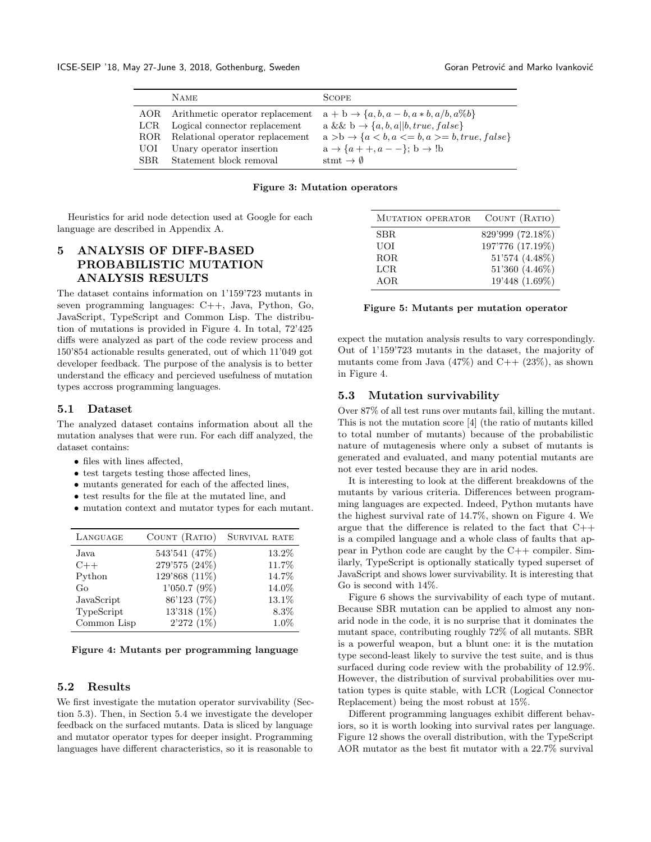<span id="page-3-0"></span>

|       | <b>NAME</b>                         | <b>SCOPE</b>                                                    |
|-------|-------------------------------------|-----------------------------------------------------------------|
|       | AOR Arithmetic operator replacement | $a + b \rightarrow \{a, b, a - b, a * b, a/b, a\%b\}$           |
| LCR.  | Logical connector replacement       | a && b $\rightarrow \{a, b, a  b, true, false\}$                |
| ROR – | Relational operator replacement     | $a > b \rightarrow \{a < b, a < b,a \rangle = b, true, false\}$ |
| UOI   | Unary operator insertion            | $a \rightarrow \{a + +, a - -\}; b \rightarrow \text{!b}$       |
| SBR.  | Statement block removal             | stmt $\rightarrow \emptyset$                                    |

#### Figure 3: Mutation operators

Heuristics for arid node detection used at Google for each language are described in Appendix [A.](#page-5-12)

## 5 ANALYSIS OF DIFF-BASED PROBABILISTIC MUTATION ANALYSIS RESULTS

The dataset contains information on 1'159'723 mutants in seven programming languages: C++, Java, Python, Go, JavaScript, TypeScript and Common Lisp. The distribution of mutations is provided in Figure [4.](#page-3-1) In total, 72'425 diffs were analyzed as part of the code review process and 150'854 actionable results generated, out of which 11'049 got developer feedback. The purpose of the analysis is to better understand the efficacy and percieved usefulness of mutation types accross programming languages.

### 5.1 Dataset

The analyzed dataset contains information about all the mutation analyses that were run. For each diff analyzed, the dataset contains:

- ∙ files with lines affected,
- ∙ test targets testing those affected lines,
- ∙ mutants generated for each of the affected lines,
- ∙ test results for the file at the mutated line, and
- ∙ mutation context and mutator types for each mutant.

<span id="page-3-1"></span>

| LANGUAGE    | COUNT (RATIO)  | SURVIVAL RATE |
|-------------|----------------|---------------|
| Java        | 543'541 (47%)  | 13.2%         |
| $C++$       | 279'575 (24%)  | 11.7%         |
| Python      | 129'868 (11%)  | 14.7%         |
| Go          | $1'050.7(9\%)$ | 14.0%         |
| JavaScript  | 86'123 (7%)    | 13.1%         |
| TypeScript  | 13'318 (1%)    | $8.3\%$       |
| Common Lisp | $2'272(1\%)$   | 1.0%          |

| Figure 4: Mutants per programming language |  |  |  |
|--------------------------------------------|--|--|--|
|--------------------------------------------|--|--|--|

#### 5.2 Results

We first investigate the mutation operator survivability (Section [5.3\)](#page-3-2). Then, in Section [5.4](#page-4-1) we investigate the developer feedback on the surfaced mutants. Data is sliced by language and mutator operator types for deeper insight. Programming languages have different characteristics, so it is reasonable to

| MUTATION OPERATOR | COUNT (RATIO)    |
|-------------------|------------------|
| SBR.              | 829'999 (72.18%) |
| UOI               | 197'776 (17.19%) |
| ROR.              | 51'574 (4.48%)   |
| LCR.              | 51'360 (4.46%)   |
| AOR.              | 19'448 (1.69%)   |

#### Figure 5: Mutants per mutation operator

expect the mutation analysis results to vary correspondingly. Out of 1'159'723 mutants in the dataset, the majority of mutants come from Java  $(47\%)$  and  $C++ (23\%)$ , as shown in Figure [4.](#page-3-1)

#### <span id="page-3-2"></span>5.3 Mutation survivability

Over 87% of all test runs over mutants fail, killing the mutant. This is not the mutation score [\[4\]](#page-5-13) (the ratio of mutants killed to total number of mutants) because of the probabilistic nature of mutagenesis where only a subset of mutants is generated and evaluated, and many potential mutants are not ever tested because they are in arid nodes.

It is interesting to look at the different breakdowns of the mutants by various criteria. Differences between programming languages are expected. Indeed, Python mutants have the highest survival rate of 14.7%, shown on Figure [4.](#page-3-1) We argue that the difference is related to the fact that C++ is a compiled language and a whole class of faults that appear in Python code are caught by the C++ compiler. Similarly, TypeScript is optionally statically typed superset of JavaScript and shows lower survivability. It is interesting that Go is second with 14%.

Figure [6](#page-4-2) shows the survivability of each type of mutant. Because SBR mutation can be applied to almost any nonarid node in the code, it is no surprise that it dominates the mutant space, contributing roughly 72% of all mutants. SBR is a powerful weapon, but a blunt one: it is the mutation type second-least likely to survive the test suite, and is thus surfaced during code review with the probability of 12.9%. However, the distribution of survival probabilities over mutation types is quite stable, with LCR (Logical Connector Replacement) being the most robust at 15%.

Different programming languages exhibit different behaviors, so it is worth looking into survival rates per language. Figure [12](#page-8-1) shows the overall distribution, with the TypeScript AOR mutator as the best fit mutator with a 22.7% survival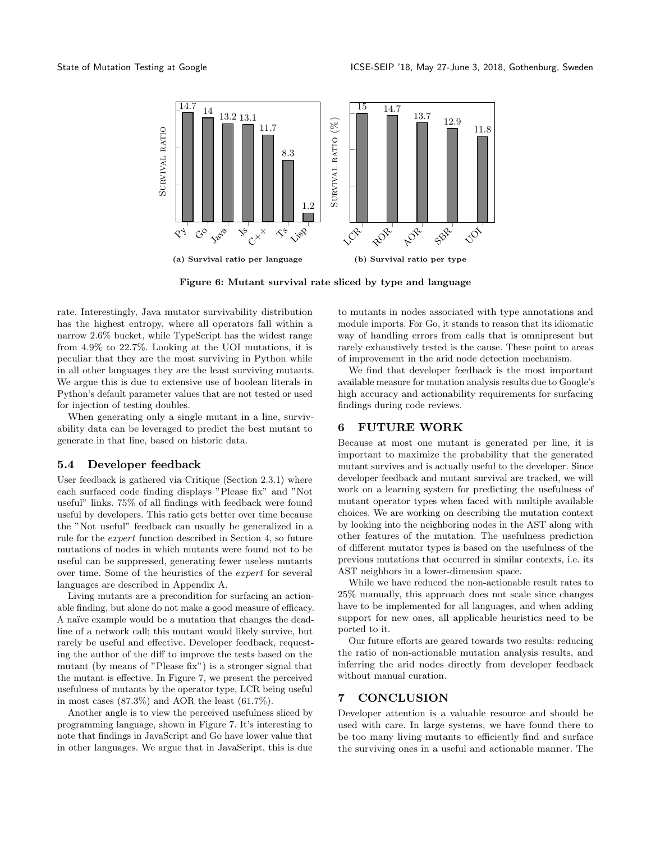<span id="page-4-2"></span>

Figure 6: Mutant survival rate sliced by type and language

rate. Interestingly, Java mutator survivability distribution has the highest entropy, where all operators fall within a narrow 2.6% bucket, while TypeScript has the widest range from 4.9% to 22.7%. Looking at the UOI mutations, it is peculiar that they are the most surviving in Python while in all other languages they are the least surviving mutants. We argue this is due to extensive use of boolean literals in Python's default parameter values that are not tested or used for injection of testing doubles.

When generating only a single mutant in a line, survivability data can be leveraged to predict the best mutant to generate in that line, based on historic data.

#### <span id="page-4-1"></span>5.4 Developer feedback

User feedback is gathered via Critique (Section [2.3.1\)](#page-1-2) where each surfaced code finding displays "Please fix" and "Not useful" links. 75% of all findings with feedback were found useful by developers. This ratio gets better over time because the "Not useful" feedback can usually be generalized in a rule for the *expert* function described in Section [4,](#page-2-1) so future mutations of nodes in which mutants were found not to be useful can be suppressed, generating fewer useless mutants over time. Some of the heuristics of the  $expert$  for several languages are described in Appendix [A.](#page-5-12)

Living mutants are a precondition for surfacing an actionable finding, but alone do not make a good measure of efficacy. A naïve example would be a mutation that changes the deadline of a network call; this mutant would likely survive, but rarely be useful and effective. Developer feedback, requesting the author of the diff to improve the tests based on the mutant (by means of "Please fix") is a stronger signal that the mutant is effective. In Figure [7,](#page-5-14) we present the perceived usefulness of mutants by the operator type, LCR being useful in most cases (87.3%) and AOR the least (61.7%).

Another angle is to view the perceived usefulness sliced by programming language, shown in Figure [7.](#page-5-14) It's interesting to note that findings in JavaScript and Go have lower value that in other languages. We argue that in JavaScript, this is due to mutants in nodes associated with type annotations and module imports. For Go, it stands to reason that its idiomatic way of handling errors from calls that is omnipresent but rarely exhaustively tested is the cause. These point to areas of improvement in the arid node detection mechanism.

We find that developer feedback is the most important available measure for mutation analysis results due to Google's high accuracy and actionability requirements for surfacing findings during code reviews.

### <span id="page-4-0"></span>6 FUTURE WORK

Because at most one mutant is generated per line, it is important to maximize the probability that the generated mutant survives and is actually useful to the developer. Since developer feedback and mutant survival are tracked, we will work on a learning system for predicting the usefulness of mutant operator types when faced with multiple available choices. We are working on describing the mutation context by looking into the neighboring nodes in the AST along with other features of the mutation. The usefulness prediction of different mutator types is based on the usefulness of the previous mutations that occurred in similar contexts, i.e. its AST neighbors in a lower-dimension space.

While we have reduced the non-actionable result rates to 25% manually, this approach does not scale since changes have to be implemented for all languages, and when adding support for new ones, all applicable heuristics need to be ported to it.

Our future efforts are geared towards two results: reducing the ratio of non-actionable mutation analysis results, and inferring the arid nodes directly from developer feedback without manual curation.

### 7 CONCLUSION

Developer attention is a valuable resource and should be used with care. In large systems, we have found there to be too many living mutants to efficiently find and surface the surviving ones in a useful and actionable manner. The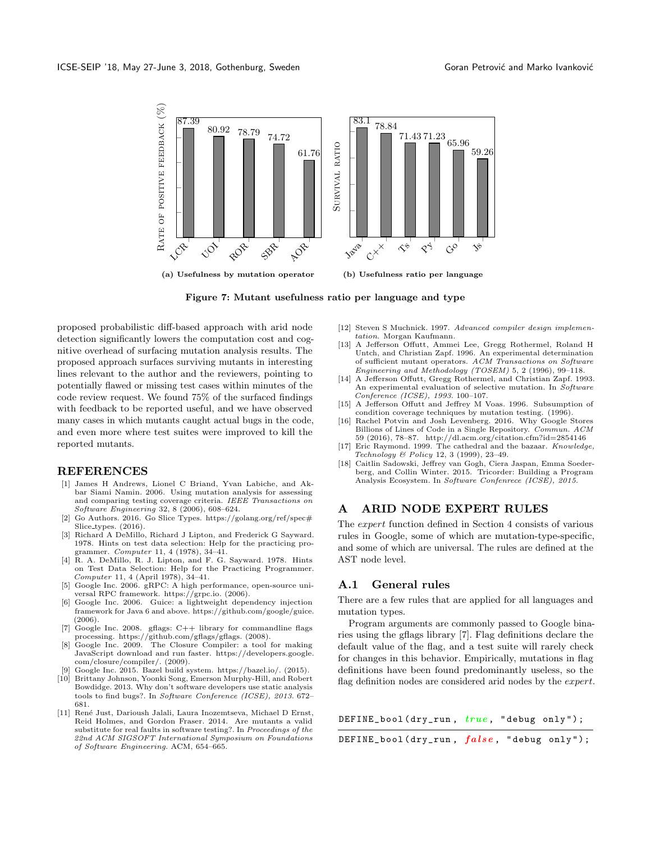<span id="page-5-14"></span>

Figure 7: Mutant usefulness ratio per language and type

proposed probabilistic diff-based approach with arid node detection significantly lowers the computation cost and cognitive overhead of surfacing mutation analysis results. The proposed approach surfaces surviving mutants in interesting lines relevant to the author and the reviewers, pointing to potentially flawed or missing test cases within minutes of the code review request. We found 75% of the surfaced findings with feedback to be reported useful, and we have observed many cases in which mutants caught actual bugs in the code, and even more where test suites were improved to kill the reported mutants.

#### REFERENCES

- <span id="page-5-1"></span>[1] James H Andrews, Lionel C Briand, Yvan Labiche, and Akbar Siami Namin. 2006. Using mutation analysis for assessing and comparing testing coverage criteria. IEEE Transactions on Software Engineering 32, 8 (2006), 608–624.
- <span id="page-5-18"></span>[2] Go Authors. 2016. Go Slice Types. [https://golang.org/ref/spec#](https://golang.org/ref/spec#Slice_types) Slice\_[types.](https://golang.org/ref/spec#Slice_types) (2016).
- <span id="page-5-4"></span>[3] Richard A DeMillo, Richard J Lipton, and Frederick G Sayward. 1978. Hints on test data selection: Help for the practicing programmer. Computer 11, 4 (1978), 34–41.
- <span id="page-5-13"></span>[4] R. A. DeMillo, R. J. Lipton, and F. G. Sayward. 1978. Hints on Test Data Selection: Help for the Practicing Programmer. Computer 11, 4 (April 1978), 34–41.
- <span id="page-5-16"></span>[5] Google Inc. 2006. gRPC: A high performance, open-source universal RPC framework. [https://grpc.io.](https://grpc.io) (2006).
- <span id="page-5-17"></span>[6] Google Inc. 2006. Guice: a lightweight dependency injection framework for Java 6 and above. [https://github.com/google/guice.](https://github.com/google/guice)  $(2006)$ .<br>Google Inc. 2008.
- <span id="page-5-15"></span>[7] Google Inc. 2008. gflags: C++ library for commandline flags processing. [https://github.com/gflags/gflags.](https://github.com/gflags/gflags) (2008).
- <span id="page-5-19"></span>Google Inc. 2009. The Closure Compiler: a tool for making JavaScript download and run faster. [https://developers.google.](https://developers.google.com/closure/compiler/) [com/closure/compiler/.](https://developers.google.com/closure/compiler/) (2009).
- <span id="page-5-8"></span>Google Inc. 2015. Bazel build system. [https://bazel.io/.](https://bazel.io/) (2015).
- <span id="page-5-9"></span>[10] Brittany Johnson, Yoonki Song, Emerson Murphy-Hill, and Robert Bowdidge. 2013. Why don't software developers use static analysis tools to find bugs?. In Software Conference (ICSE), 2013. 672– 681.
- <span id="page-5-2"></span>[11] René Just, Darioush Jalali, Laura Inozemtseva, Michael D Ernst, Reid Holmes, and Gordon Fraser. 2014. Are mutants a valid substitute for real faults in software testing?. In Proceedings of the 22nd ACM SIGSOFT International Symposium on Foundations of Software Engineering. ACM, 654–665.
- <span id="page-5-11"></span>[12] Steven S Muchnick. 1997. Advanced compiler design implementation. Morgan Kaufmann.
- <span id="page-5-10"></span>[13] A Jefferson Offutt, Ammei Lee, Gregg Rothermel, Roland H Untch, and Christian Zapf. 1996. An experimental determination of sufficient mutant operators. ACM Transactions on Software Engineering and Methodology (TOSEM) 5, 2 (1996), 99–118.
- <span id="page-5-5"></span>[14] A Jefferson Offutt, Gregg Rothermel, and Christian Zapf. 1993. An experimental evaluation of selective mutation. In Software Conference (ICSE), 1993. 100–107.
- <span id="page-5-0"></span>[15] A Jefferson Offutt and Jeffrey M Voas. 1996. Subsumption of condition coverage techniques by mutation testing. (1996).
- <span id="page-5-3"></span>[16] Rachel Potvin and Josh Levenberg. 2016. Why Google Stores Billions of Lines of Code in a Single Repository. Commun. ACM 59 (2016), 78–87.<http://dl.acm.org/citation.cfm?id=2854146>
- <span id="page-5-6"></span>[17] Eric Raymond. 1999. The cathedral and the bazaar. Knowledge, Technology & Policy 12, 3 (1999), 23–49.
- <span id="page-5-7"></span>[18] Caitlin Sadowski, Jeffrey van Gogh, Ciera Jaspan, Emma Soederberg, and Collin Winter. 2015. Tricorder: Building a Program Analysis Ecosystem. In Software Confenrece (ICSE), 2015.

### <span id="page-5-12"></span>A ARID NODE EXPERT RULES

The  $expert$  function defined in Section [4](#page-2-1) consists of various rules in Google, some of which are mutation-type-specific, and some of which are universal. The rules are defined at the AST node level.

### A.1 General rules

There are a few rules that are applied for all languages and mutation types.

Program arguments are commonly passed to Google binaries using the gflags library [\[7\]](#page-5-15). Flag definitions declare the default value of the flag, and a test suite will rarely check for changes in this behavior. Empirically, mutations in flag definitions have been found predominantly useless, so the flag definition nodes are considered arid nodes by the  $expert$ .

| DEFINE_bool(dry_run, $true$ , "debug only"); |  |  |  |  |
|----------------------------------------------|--|--|--|--|
|----------------------------------------------|--|--|--|--|

| DEFINE_bool(dry_run, false, "debug only"); |  |  |  |  |
|--------------------------------------------|--|--|--|--|
|--------------------------------------------|--|--|--|--|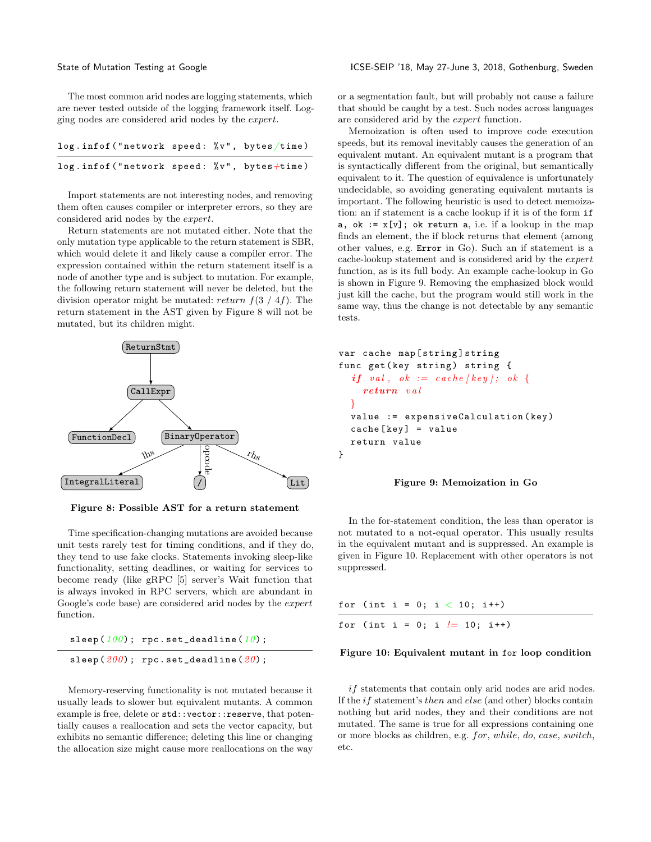The most common arid nodes are logging statements, which are never tested outside of the logging framework itself. Logging nodes are considered arid nodes by the  $expert$ .

| $log.infof("network speed: %v", bytes/time)$ |  |  |
|----------------------------------------------|--|--|
| $log.infof("network speed: %v", bytes+time)$ |  |  |

Import statements are not interesting nodes, and removing them often causes compiler or interpreter errors, so they are considered arid nodes by the  $expert$ .

Return statements are not mutated either. Note that the only mutation type applicable to the return statement is SBR, which would delete it and likely cause a compiler error. The expression contained within the return statement itself is a node of another type and is subject to mutation. For example, the following return statement will never be deleted, but the division operator might be mutated:  $return f(3 / 4f)$ . The return statement in the AST given by Figure [8](#page-6-0) will not be mutated, but its children might.

<span id="page-6-0"></span>

Figure 8: Possible AST for a return statement

Time specification-changing mutations are avoided because unit tests rarely test for timing conditions, and if they do, they tend to use fake clocks. Statements invoking sleep-like functionality, setting deadlines, or waiting for services to become ready (like gRPC [\[5\]](#page-5-16) server's Wait function that is always invoked in RPC servers, which are abundant in Google's code base) are considered arid nodes by the *expert* function.

| sleep $(100)$ ; rpc.set_deadline $(10)$ ; |
|-------------------------------------------|
| sleep $(200)$ ; rpc.set_deadline $(20)$ ; |

Memory-reserving functionality is not mutated because it usually leads to slower but equivalent mutants. A common example is free, delete or std::vector::reserve, that potentially causes a reallocation and sets the vector capacity, but exhibits no semantic difference; deleting this line or changing the allocation size might cause more reallocations on the way

or a segmentation fault, but will probably not cause a failure that should be caught by a test. Such nodes across languages are considered arid by the *expert* function.

Memoization is often used to improve code execution speeds, but its removal inevitably causes the generation of an equivalent mutant. An equivalent mutant is a program that is syntactically different from the original, but semantically equivalent to it. The question of equivalence is unfortunately undecidable, so avoiding generating equivalent mutants is important. The following heuristic is used to detect memoization: an if statement is a cache lookup if it is of the form if a, ok :=  $x[y]$ ; ok return a, i.e. if a lookup in the map finds an element, the if block returns that element (among other values, e.g. Error in Go). Such an if statement is a cache-lookup statement and is considered arid by the function, as is its full body. An example cache-lookup in Go is shown in Figure [9.](#page-6-1) Removing the emphasized block would just kill the cache, but the program would still work in the same way, thus the change is not detectable by any semantic tests.

```
var cache map [ string ] string
func get (key string) string {
  if val, ok := cache [key]; ok {
    return val
  }
  value := expensiveCalculation ( key )
  cache [ key ] = value
  return value
}
```
#### Figure 9: Memoization in Go

In the for-statement condition, the less than operator is not mutated to a not-equal operator. This usually results in the equivalent mutant and is suppressed. An example is given in Figure [10.](#page-6-2) Replacement with other operators is not suppressed.

<span id="page-6-2"></span>

|  |  |  |  | for (int i = 0; i $<$ 10; i++)  |
|--|--|--|--|---------------------------------|
|  |  |  |  | for (int i = 0; i $l=10$ ; i++) |

#### Figure 10: Equivalent mutant in for loop condition

 $if$  statements that contain only arid nodes are arid nodes. If the  $if$  statement's *then* and  $else$  (and other) blocks contain nothing but arid nodes, they and their conditions are not mutated. The same is true for all expressions containing one or more blocks as children, e.g. for, while, do, case, switch, etc.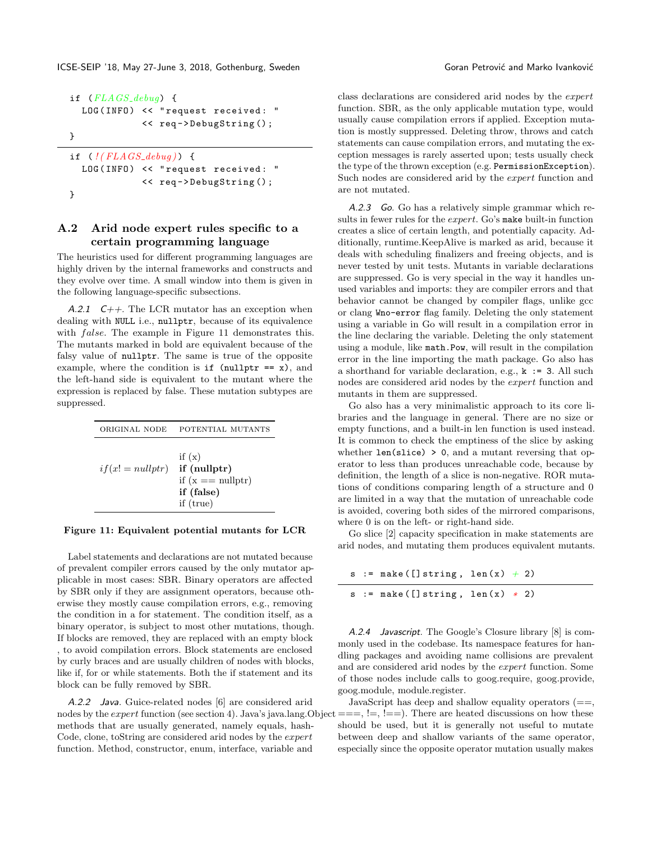ICSE-SEIP '18, May 27-June 3, 2018, Gothenburg, Sweden Goran Commence Coran Petrović and Marko Ivanković

```
if (FLAGS_{debug}) {
  LOG (INFO) << "request received: "
              << req - > DebugString () ;
}
if ( ! (FLAGS<sub>-</sub>debug) {
```

```
LOG (INFO) << "request received: "
             << req - > DebugString () ;
}
```
### A.2 Arid node expert rules specific to a certain programming language

The heuristics used for different programming languages are highly driven by the internal frameworks and constructs and they evolve over time. A small window into them is given in the following language-specific subsections.

A.2.1  $C_{++}$ . The LCR mutator has an exception when dealing with NULL i.e., nullptr, because of its equivalence with  $false$ . The example in Figure [11](#page-7-0) demonstrates this. The mutants marked in bold are equivalent because of the falsy value of nullptr. The same is true of the opposite example, where the condition is if  $\text{(nullptr)} = x)$ , and the left-hand side is equivalent to the mutant where the expression is replaced by false. These mutation subtypes are suppressed.

<span id="page-7-0"></span>

| ORIGINAL NODE      | POTENTIAL MUTANTS                                                            |
|--------------------|------------------------------------------------------------------------------|
| $if(x! = nullptr)$ | if $(x)$<br>$if$ (nullptr)<br>if $(x == nullptr)$<br>if (false)<br>if (true) |

#### Figure 11: Equivalent potential mutants for LCR

Label statements and declarations are not mutated because of prevalent compiler errors caused by the only mutator applicable in most cases: SBR. Binary operators are affected by SBR only if they are assignment operators, because otherwise they mostly cause compilation errors, e.g., removing the condition in a for statement. The condition itself, as a binary operator, is subject to most other mutations, though. If blocks are removed, they are replaced with an empty block , to avoid compilation errors. Block statements are enclosed by curly braces and are usually children of nodes with blocks, like if, for or while statements. Both the if statement and its block can be fully removed by SBR.

A.2.2 Java. Guice-related nodes [\[6\]](#page-5-17) are considered arid nodes by the *expert* function (see section [4\)](#page-2-1). Java's java.lang.Object  $==, !=, !=)$ . There are heated discussions on how these methods that are usually generated, namely equals, hash-Code, clone, toString are considered arid nodes by the *expert* function. Method, constructor, enum, interface, variable and

class declarations are considered arid nodes by the function. SBR, as the only applicable mutation type, would usually cause compilation errors if applied. Exception mutation is mostly suppressed. Deleting throw, throws and catch statements can cause compilation errors, and mutating the exception messages is rarely asserted upon; tests usually check the type of the thrown exception (e.g. PermissionException). Such nodes are considered arid by the  $expert$  function and are not mutated.

A.2.3 Go. Go has a relatively simple grammar which results in fewer rules for the *expert*. Go's make built-in function creates a slice of certain length, and potentially capacity. Additionally, runtime.KeepAlive is marked as arid, because it deals with scheduling finalizers and freeing objects, and is never tested by unit tests. Mutants in variable declarations are suppressed. Go is very special in the way it handles unused variables and imports: they are compiler errors and that behavior cannot be changed by compiler flags, unlike gcc or clang Wno-error flag family. Deleting the only statement using a variable in Go will result in a compilation error in the line declaring the variable. Deleting the only statement using a module, like math.Pow, will result in the compilation error in the line importing the math package. Go also has a shorthand for variable declaration, e.g.,  $k := 3$ . All such nodes are considered arid nodes by the *expert* function and mutants in them are suppressed.

Go also has a very minimalistic approach to its core libraries and the language in general. There are no size or empty functions, and a built-in len function is used instead. It is common to check the emptiness of the slice by asking whether  $len(slice) > 0$ , and a mutant reversing that operator to less than produces unreachable code, because by definition, the length of a slice is non-negative. ROR mutations of conditions comparing length of a structure and 0 are limited in a way that the mutation of unreachable code is avoided, covering both sides of the mirrored comparisons, where 0 is on the left- or right-hand side.

Go slice [\[2\]](#page-5-18) capacity specification in make statements are arid nodes, and mutating them produces equivalent mutants.

|  | s := make( $[]$ string, len(x) + 2) |  |  |
|--|-------------------------------------|--|--|
|  | $s := make([]string, len(x) * 2)$   |  |  |

A.2.4 Javascript. The Google's Closure library [\[8\]](#page-5-19) is commonly used in the codebase. Its namespace features for handling packages and avoiding name collisions are prevalent and are considered arid nodes by the *expert* function. Some of those nodes include calls to goog.require, goog.provide, goog.module, module.register.

JavaScript has deep and shallow equality operators  $(==,$ should be used, but it is generally not useful to mutate between deep and shallow variants of the same operator, especially since the opposite operator mutation usually makes